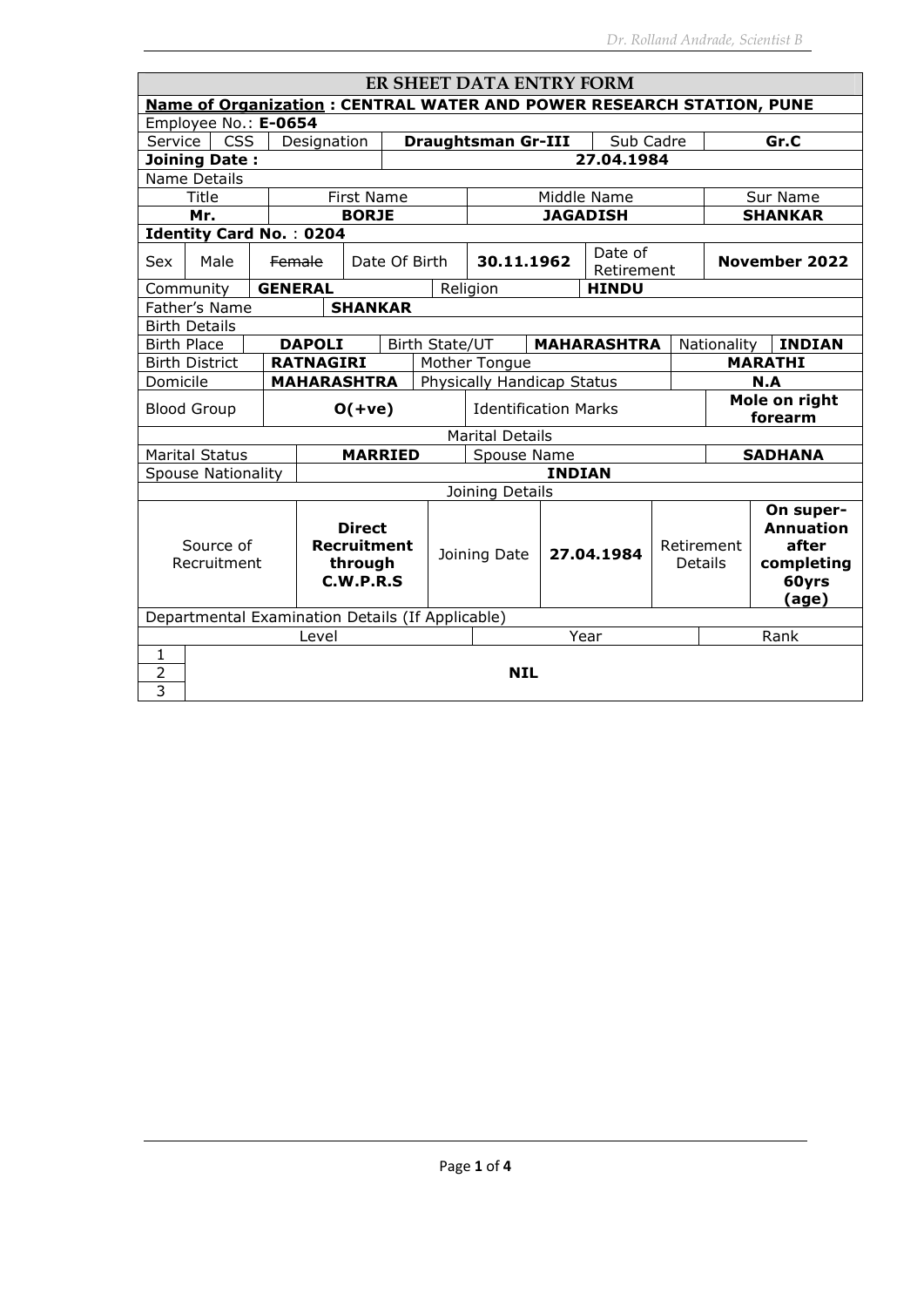| ER SHEET DATA ENTRY FORM                                                    |                                                  |  |                    |                    |                             |                           |                            |               |                       |  |                              |                     |
|-----------------------------------------------------------------------------|--------------------------------------------------|--|--------------------|--------------------|-----------------------------|---------------------------|----------------------------|---------------|-----------------------|--|------------------------------|---------------------|
| <b>Name of Organization: CENTRAL WATER AND POWER RESEARCH STATION, PUNE</b> |                                                  |  |                    |                    |                             |                           |                            |               |                       |  |                              |                     |
| Employee No.: E-0654                                                        |                                                  |  |                    |                    |                             |                           |                            |               |                       |  |                              |                     |
| <b>CSS</b><br>Service<br>Designation                                        |                                                  |  |                    |                    |                             | <b>Draughtsman Gr-III</b> |                            | Sub Cadre     |                       |  | Gr.C                         |                     |
|                                                                             | 27.04.1984<br><b>Joining Date:</b>               |  |                    |                    |                             |                           |                            |               |                       |  |                              |                     |
|                                                                             | Name Details                                     |  |                    |                    |                             |                           |                            |               |                       |  |                              |                     |
|                                                                             | Title                                            |  |                    | <b>First Name</b>  |                             |                           |                            |               | Middle Name           |  |                              | Sur Name            |
|                                                                             | Mr.                                              |  |                    | <b>BORJE</b>       |                             |                           |                            |               | <b>JAGADISH</b>       |  |                              | <b>SHANKAR</b>      |
|                                                                             | <b>Identity Card No.: 0204</b>                   |  |                    |                    |                             |                           |                            |               |                       |  |                              |                     |
| <b>Sex</b>                                                                  | Male                                             |  | <b>Female</b>      |                    | Date Of Birth               |                           | 30.11.1962                 |               | Date of<br>Retirement |  |                              | November 2022       |
|                                                                             | Community                                        |  | <b>GENERAL</b>     |                    |                             |                           | Religion                   |               | <b>HINDU</b>          |  |                              |                     |
|                                                                             | Father's Name                                    |  |                    | <b>SHANKAR</b>     |                             |                           |                            |               |                       |  |                              |                     |
|                                                                             | <b>Birth Details</b>                             |  |                    |                    |                             |                           |                            |               |                       |  |                              |                     |
| <b>Birth Place</b>                                                          |                                                  |  | <b>DAPOLI</b>      |                    | Birth State/UT              |                           |                            |               | <b>MAHARASHTRA</b>    |  | Nationality                  | <b>INDIAN</b>       |
|                                                                             | <b>Birth District</b>                            |  | <b>RATNAGIRI</b>   |                    |                             |                           | Mother Tongue              |               |                       |  |                              | <b>MARATHI</b>      |
| Domicile                                                                    |                                                  |  | <b>MAHARASHTRA</b> |                    |                             |                           | Physically Handicap Status |               |                       |  |                              | N.A                 |
|                                                                             |                                                  |  |                    |                    |                             |                           |                            |               |                       |  |                              | Mole on right       |
|                                                                             | <b>Blood Group</b>                               |  |                    | $O(+ve)$           | <b>Identification Marks</b> |                           |                            |               |                       |  | forearm                      |                     |
|                                                                             |                                                  |  |                    |                    |                             |                           | <b>Marital Details</b>     |               |                       |  |                              |                     |
|                                                                             | <b>Marital Status</b>                            |  |                    | <b>MARRIED</b>     |                             |                           | Spouse Name                |               |                       |  |                              | <b>SADHANA</b>      |
|                                                                             | <b>Spouse Nationality</b>                        |  |                    |                    |                             |                           |                            | <b>INDIAN</b> |                       |  |                              |                     |
|                                                                             |                                                  |  |                    |                    |                             |                           | Joining Details            |               |                       |  |                              |                     |
|                                                                             |                                                  |  |                    |                    |                             |                           |                            |               |                       |  |                              | On super-           |
|                                                                             |                                                  |  |                    | <b>Direct</b>      |                             |                           |                            |               |                       |  |                              | <b>Annuation</b>    |
|                                                                             | Source of<br>Recruitment                         |  |                    | <b>Recruitment</b> |                             |                           | Joining Date               |               | 27.04.1984            |  | Retirement<br><b>Details</b> | after               |
|                                                                             |                                                  |  |                    | through            |                             |                           |                            |               |                       |  |                              | completing<br>60yrs |
| C.W.P.R.S                                                                   |                                                  |  |                    |                    |                             |                           |                            | (age)         |                       |  |                              |                     |
|                                                                             | Departmental Examination Details (If Applicable) |  |                    |                    |                             |                           |                            |               |                       |  |                              |                     |
|                                                                             | Year<br>Level                                    |  |                    |                    |                             |                           |                            | Rank          |                       |  |                              |                     |
| 1                                                                           |                                                  |  |                    |                    |                             |                           |                            |               |                       |  |                              |                     |
| 2                                                                           | <b>NIL</b>                                       |  |                    |                    |                             |                           |                            |               |                       |  |                              |                     |
| 3                                                                           |                                                  |  |                    |                    |                             |                           |                            |               |                       |  |                              |                     |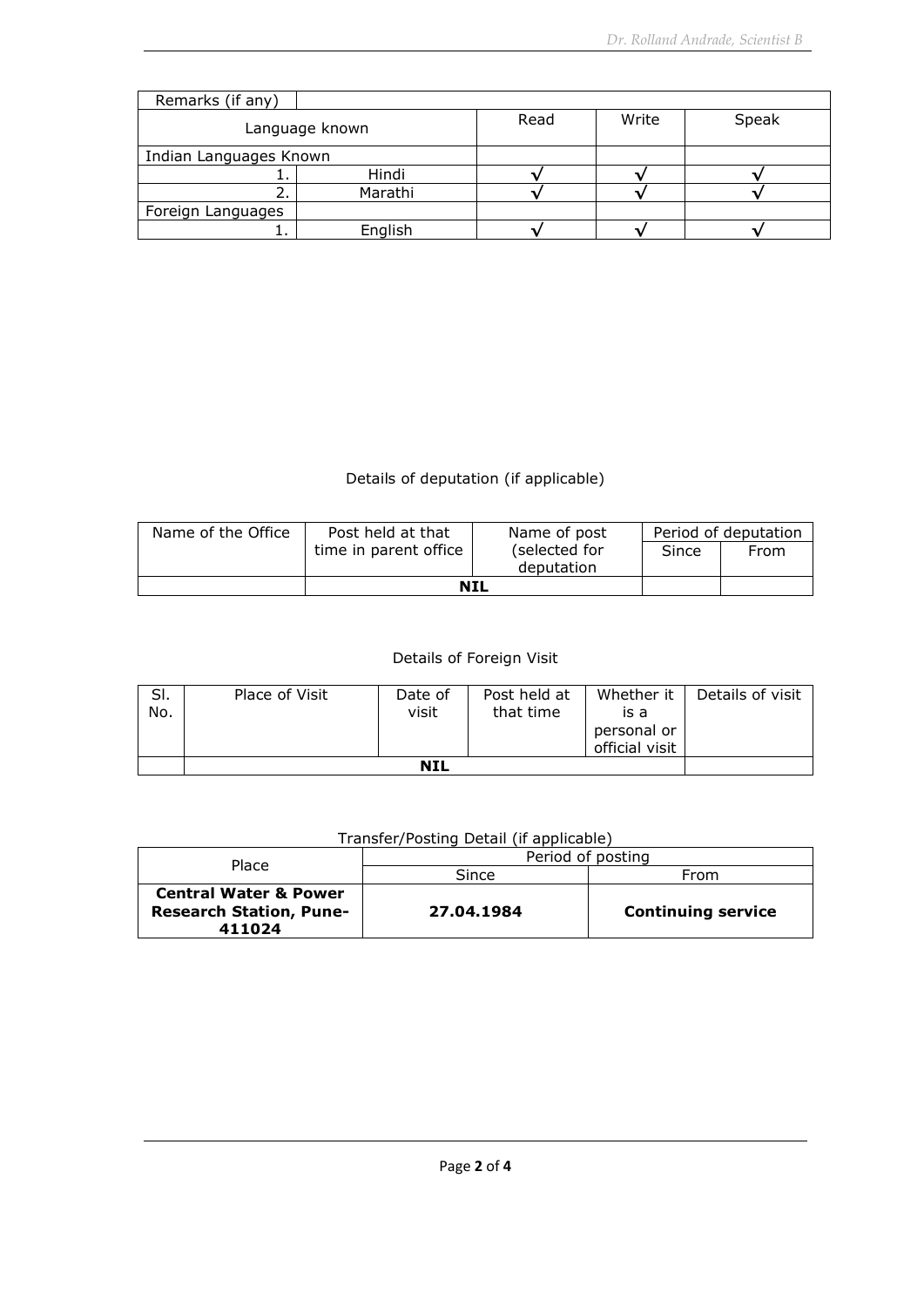| Remarks (if any)       |                |      |       |       |  |  |
|------------------------|----------------|------|-------|-------|--|--|
|                        | Language known | Read | Write | Speak |  |  |
| Indian Languages Known |                |      |       |       |  |  |
|                        | Hindi          |      |       |       |  |  |
|                        | Marathi        |      |       |       |  |  |
| Foreign Languages      |                |      |       |       |  |  |
|                        | English        |      |       |       |  |  |

## Details of deputation (if applicable)

| Name of the Office | Post held at that     | Name of post                | Period of deputation |      |  |
|--------------------|-----------------------|-----------------------------|----------------------|------|--|
|                    | time in parent office | (selected for<br>deputation | Since                | From |  |
|                    |                       |                             |                      |      |  |
|                    | <b>NIL</b>            |                             |                      |      |  |

## Details of Foreign Visit

| SI.<br>No. | Place of Visit | Date of<br>visit | Post held at<br>that time | is a<br>personal or<br>official visit | Whether it   Details of visit |
|------------|----------------|------------------|---------------------------|---------------------------------------|-------------------------------|
|            |                |                  |                           |                                       |                               |

## Transfer/Posting Detail (if applicable)

| Place                                                                        | Period of posting |                           |  |  |
|------------------------------------------------------------------------------|-------------------|---------------------------|--|--|
|                                                                              | Since             | From                      |  |  |
| <b>Central Water &amp; Power</b><br><b>Research Station, Pune-</b><br>411024 | 27.04.1984        | <b>Continuing service</b> |  |  |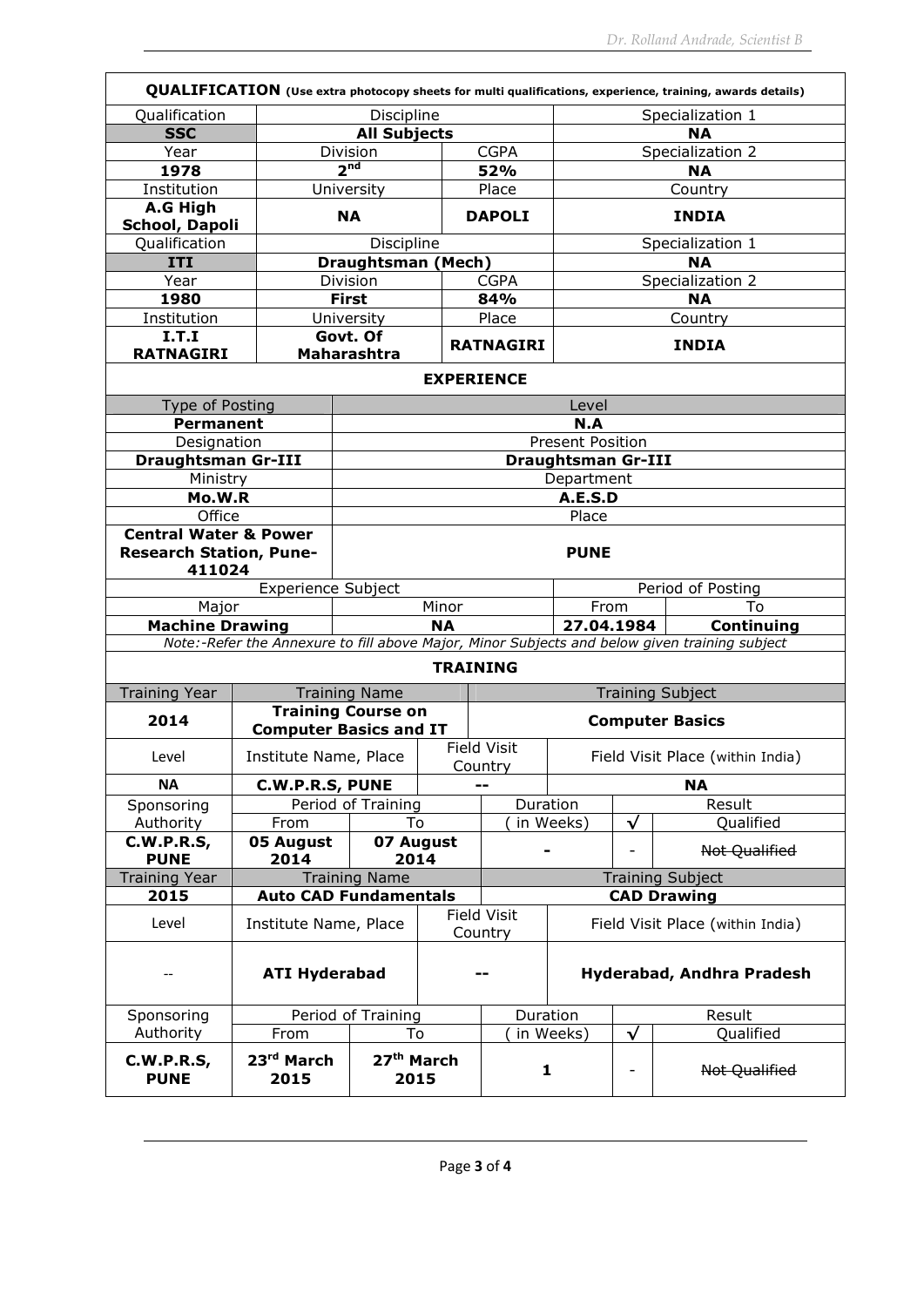|                                                                              |                                |                                                        |                                           |                                                                   |                                  |                              | QUALIFICATION (Use extra photocopy sheets for multi qualifications, experience, training, awards details) |  |
|------------------------------------------------------------------------------|--------------------------------|--------------------------------------------------------|-------------------------------------------|-------------------------------------------------------------------|----------------------------------|------------------------------|-----------------------------------------------------------------------------------------------------------|--|
| Qualification                                                                |                                | Discipline                                             |                                           |                                                                   | Specialization 1                 |                              |                                                                                                           |  |
| <b>SSC</b>                                                                   |                                | <b>All Subjects</b>                                    |                                           |                                                                   |                                  | <b>NA</b>                    |                                                                                                           |  |
| Year                                                                         |                                | Division                                               | <b>CGPA</b>                               |                                                                   | Specialization 2                 |                              |                                                                                                           |  |
| 1978                                                                         |                                | 2 <sup>nd</sup><br>52%                                 |                                           | <b>NA</b>                                                         |                                  |                              |                                                                                                           |  |
| Institution                                                                  |                                | University                                             |                                           | Place                                                             |                                  |                              | Country                                                                                                   |  |
| A.G High                                                                     |                                |                                                        |                                           |                                                                   |                                  |                              |                                                                                                           |  |
| School, Dapoli                                                               |                                | <b>NA</b>                                              |                                           | <b>DAPOLI</b>                                                     |                                  |                              | <b>INDIA</b>                                                                                              |  |
| Qualification                                                                |                                | Discipline                                             |                                           |                                                                   | Specialization 1                 |                              |                                                                                                           |  |
| <b>ITI</b>                                                                   |                                | <b>Draughtsman (Mech)</b>                              |                                           |                                                                   |                                  |                              | NA                                                                                                        |  |
| Year                                                                         |                                | Division                                               |                                           | <b>CGPA</b>                                                       |                                  |                              | Specialization 2                                                                                          |  |
| 1980                                                                         |                                | <b>First</b>                                           |                                           | 84%                                                               |                                  |                              | <b>NA</b>                                                                                                 |  |
| Institution                                                                  |                                | University                                             |                                           | Place                                                             |                                  |                              | Country                                                                                                   |  |
| I.T.I                                                                        |                                | Govt. Of                                               |                                           | <b>RATNAGIRI</b>                                                  |                                  |                              | <b>INDIA</b>                                                                                              |  |
| <b>RATNAGIRI</b>                                                             |                                | <b>Maharashtra</b>                                     |                                           |                                                                   |                                  |                              |                                                                                                           |  |
|                                                                              |                                |                                                        | <b>EXPERIENCE</b>                         |                                                                   |                                  |                              |                                                                                                           |  |
| Type of Posting                                                              |                                |                                                        |                                           |                                                                   | Level                            |                              |                                                                                                           |  |
| <b>Permanent</b>                                                             |                                |                                                        |                                           |                                                                   | N.A                              |                              |                                                                                                           |  |
| Designation                                                                  |                                |                                                        |                                           |                                                                   | <b>Present Position</b>          |                              |                                                                                                           |  |
| <b>Draughtsman Gr-III</b>                                                    |                                |                                                        |                                           |                                                                   | <b>Draughtsman Gr-III</b>        |                              |                                                                                                           |  |
| Ministry                                                                     |                                |                                                        |                                           |                                                                   | Department                       |                              |                                                                                                           |  |
| Mo.W.R                                                                       |                                | A.E.S.D                                                |                                           |                                                                   |                                  |                              |                                                                                                           |  |
| Office                                                                       |                                |                                                        |                                           |                                                                   | Place                            |                              |                                                                                                           |  |
| <b>Central Water &amp; Power</b><br><b>Research Station, Pune-</b><br>411024 |                                | <b>PUNE</b>                                            |                                           |                                                                   |                                  |                              |                                                                                                           |  |
|                                                                              | Experience Subject             | Period of Posting                                      |                                           |                                                                   |                                  |                              |                                                                                                           |  |
| Major                                                                        |                                | Minor                                                  |                                           |                                                                   | From                             | To                           |                                                                                                           |  |
| <b>Machine Drawing</b>                                                       |                                | <b>NA</b>                                              |                                           |                                                                   | 27.04.1984<br>Continuing         |                              |                                                                                                           |  |
|                                                                              |                                |                                                        |                                           |                                                                   |                                  |                              | Note:-Refer the Annexure to fill above Major, Minor Subjects and below given training subject             |  |
|                                                                              |                                |                                                        | <b>TRAINING</b>                           |                                                                   |                                  |                              |                                                                                                           |  |
| <b>Training Year</b>                                                         |                                | <b>Training Name</b>                                   |                                           |                                                                   |                                  |                              | <b>Training Subject</b>                                                                                   |  |
| 2014                                                                         |                                | <b>Training Course on</b>                              |                                           |                                                                   |                                  |                              | <b>Computer Basics</b>                                                                                    |  |
|                                                                              | <b>Computer Basics and IT</b>  |                                                        |                                           |                                                                   |                                  |                              |                                                                                                           |  |
| Level                                                                        | Institute Name, Place          |                                                        |                                           | <b>Field Visit</b><br>Field Visit Place (within India)<br>Country |                                  |                              |                                                                                                           |  |
| <b>NA</b>                                                                    | <b>C.W.P.R.S, PUNE</b>         |                                                        |                                           | --                                                                |                                  |                              | <b>NA</b>                                                                                                 |  |
| Sponsoring                                                                   |                                | Period of Training                                     | Duration                                  |                                                                   |                                  |                              | Result                                                                                                    |  |
| Authority                                                                    | From                           | To                                                     |                                           | in Weeks)                                                         |                                  | √                            | Qualified                                                                                                 |  |
| <b>C.W.P.R.S,</b>                                                            | 05 August                      | 07 August                                              |                                           | -                                                                 |                                  | $\overline{\phantom{a}}$     | Not Qualified                                                                                             |  |
| <b>PUNE</b>                                                                  | 2014                           | 2014                                                   |                                           |                                                                   |                                  |                              |                                                                                                           |  |
| <b>Training Year</b>                                                         |                                | <b>Training Name</b>                                   |                                           |                                                                   |                                  |                              | <b>Training Subject</b>                                                                                   |  |
| 2015                                                                         |                                | <b>Auto CAD Fundamentals</b>                           |                                           |                                                                   |                                  |                              | <b>CAD Drawing</b>                                                                                        |  |
| Level                                                                        |                                | <b>Field Visit</b><br>Institute Name, Place<br>Country |                                           |                                                                   | Field Visit Place (within India) |                              |                                                                                                           |  |
| $- -$                                                                        |                                | <b>ATI Hyderabad</b><br>Hyderabad, Andhra Pradesh      |                                           |                                                                   |                                  |                              |                                                                                                           |  |
| Sponsoring                                                                   |                                | Period of Training                                     |                                           | Duration                                                          | Result                           |                              |                                                                                                           |  |
| Authority                                                                    | From                           |                                                        |                                           | in Weeks)                                                         |                                  | $\checkmark$                 | Qualified                                                                                                 |  |
| <b>C.W.P.R.S,</b><br><b>PUNE</b>                                             | 23 <sup>rd</sup> March<br>2015 |                                                        | To<br>27 <sup>th</sup> March<br>1<br>2015 |                                                                   |                                  | $\qquad \qquad \blacksquare$ | Not Qualified                                                                                             |  |